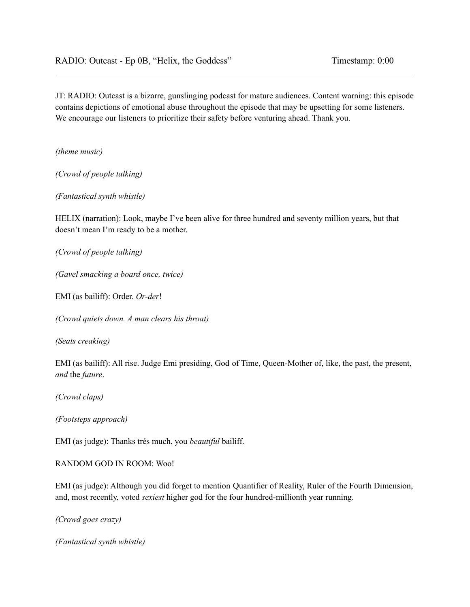JT: RADIO: Outcast is a bizarre, gunslinging podcast for mature audiences. Content warning: this episode contains depictions of emotional abuse throughout the episode that may be upsetting for some listeners. We encourage our listeners to prioritize their safety before venturing ahead. Thank you.

*(theme music)*

*(Crowd of people talking)*

*(Fantastical synth whistle)*

HELIX (narration): Look, maybe I've been alive for three hundred and seventy million years, but that doesn't mean I'm ready to be a mother.

*(Crowd of people talking)*

*(Gavel smacking a board once, twice)*

EMI (as bailiff): Order. *Or-der*!

*(Crowd quiets down. A man clears his throat)*

*(Seats creaking)*

EMI (as bailiff): All rise. Judge Emi presiding, God of Time, Queen-Mother of, like, the past, the present, *and* the *future*.

*(Crowd claps)*

*(Footsteps approach)*

EMI (as judge): Thanks trés much, you *beautiful* bailiff.

RANDOM GOD IN ROOM: Woo!

EMI (as judge): Although you did forget to mention Quantifier of Reality, Ruler of the Fourth Dimension, and, most recently, voted *sexiest* higher god for the four hundred-millionth year running.

*(Crowd goes crazy)*

*(Fantastical synth whistle)*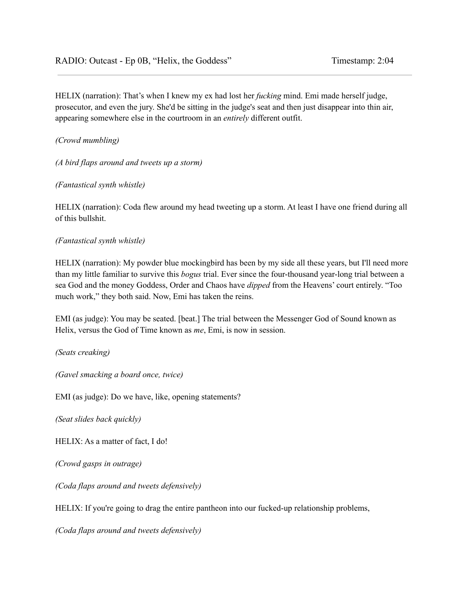HELIX (narration): That's when I knew my ex had lost her *fucking* mind. Emi made herself judge, prosecutor, and even the jury. She'd be sitting in the judge's seat and then just disappear into thin air, appearing somewhere else in the courtroom in an *entirely* different outfit.

*(Crowd mumbling)*

*(A bird flaps around and tweets up a storm)*

*(Fantastical synth whistle)*

HELIX (narration): Coda flew around my head tweeting up a storm. At least I have one friend during all of this bullshit.

## *(Fantastical synth whistle)*

HELIX (narration): My powder blue mockingbird has been by my side all these years, but I'll need more than my little familiar to survive this *bogus* trial. Ever since the four-thousand year-long trial between a sea God and the money Goddess, Order and Chaos have *dipped* from the Heavens' court entirely. "Too much work," they both said. Now, Emi has taken the reins.

EMI (as judge): You may be seated. [beat.] The trial between the Messenger God of Sound known as Helix, versus the God of Time known as *me*, Emi, is now in session.

*(Seats creaking)*

*(Gavel smacking a board once, twice)*

EMI (as judge): Do we have, like, opening statements?

*(Seat slides back quickly)*

HELIX: As a matter of fact, I do!

*(Crowd gasps in outrage)*

*(Coda flaps around and tweets defensively)*

HELIX: If you're going to drag the entire pantheon into our fucked-up relationship problems,

*(Coda flaps around and tweets defensively)*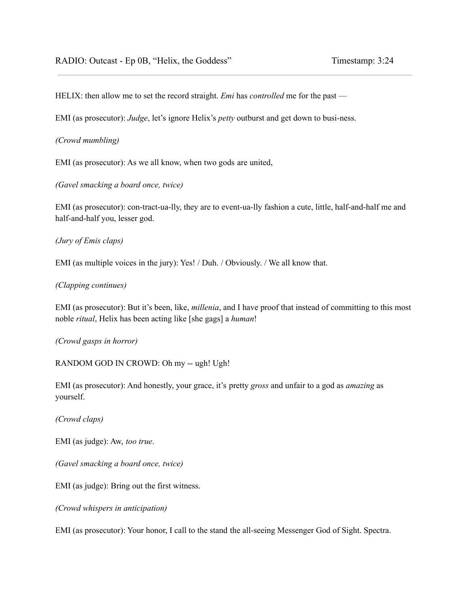HELIX: then allow me to set the record straight. *Emi* has *controlled* me for the past —

EMI (as prosecutor): *Judge*, let's ignore Helix's *petty* outburst and get down to busi-ness.

# *(Crowd mumbling)*

EMI (as prosecutor): As we all know, when two gods are united,

*(Gavel smacking a board once, twice)*

EMI (as prosecutor): con-tract-ua-lly, they are to event-ua-lly fashion a cute, little, half-and-half me and half-and-half you, lesser god.

# *(Jury of Emis claps)*

EMI (as multiple voices in the jury): Yes! / Duh. / Obviously. / We all know that.

# *(Clapping continues)*

EMI (as prosecutor): But it's been, like, *millenia*, and I have proof that instead of committing to this most noble *ritual*, Helix has been acting like [she gags] a *human*!

## *(Crowd gasps in horror)*

RANDOM GOD IN CROWD: Oh my -- ugh! Ugh!

EMI (as prosecutor): And honestly, your grace, it's pretty *gross* and unfair to a god as *amazing* as yourself.

*(Crowd claps)*

EMI (as judge): Aw, *too true*.

*(Gavel smacking a board once, twice)*

EMI (as judge): Bring out the first witness.

*(Crowd whispers in anticipation)*

EMI (as prosecutor): Your honor, I call to the stand the all-seeing Messenger God of Sight. Spectra.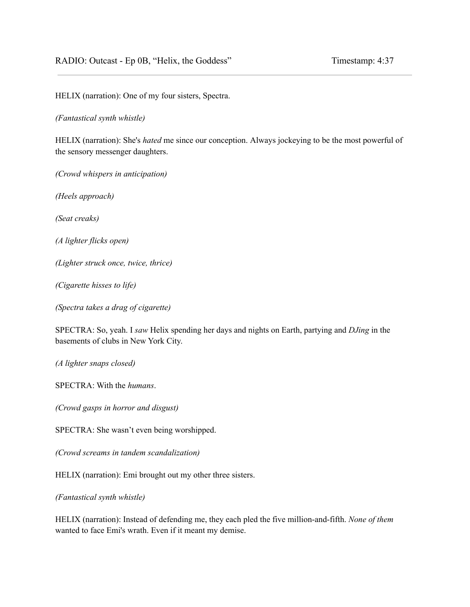HELIX (narration): One of my four sisters, Spectra.

*(Fantastical synth whistle)*

HELIX (narration): She's *hated* me since our conception. Always jockeying to be the most powerful of the sensory messenger daughters.

*(Crowd whispers in anticipation)*

*(Heels approach)*

*(Seat creaks)*

*(A lighter flicks open)*

*(Lighter struck once, twice, thrice)*

*(Cigarette hisses to life)*

*(Spectra takes a drag of cigarette)*

SPECTRA: So, yeah. I *saw* Helix spending her days and nights on Earth, partying and *DJing* in the basements of clubs in New York City.

*(A lighter snaps closed)*

SPECTRA: With the *humans*.

*(Crowd gasps in horror and disgust)*

SPECTRA: She wasn't even being worshipped.

*(Crowd screams in tandem scandalization)*

HELIX (narration): Emi brought out my other three sisters.

*(Fantastical synth whistle)*

HELIX (narration): Instead of defending me, they each pled the five million-and-fifth. *None of them* wanted to face Emi's wrath. Even if it meant my demise.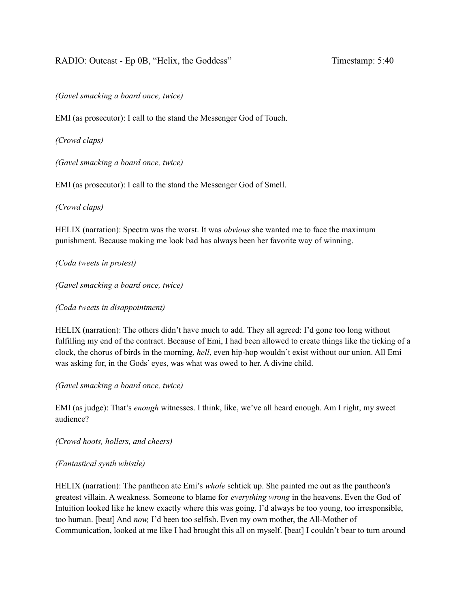*(Gavel smacking a board once, twice)*

EMI (as prosecutor): I call to the stand the Messenger God of Touch.

*(Crowd claps)*

*(Gavel smacking a board once, twice)*

EMI (as prosecutor): I call to the stand the Messenger God of Smell.

*(Crowd claps)*

HELIX (narration): Spectra was the worst. It was *obvious* she wanted me to face the maximum punishment. Because making me look bad has always been her favorite way of winning.

*(Coda tweets in protest)*

*(Gavel smacking a board once, twice)*

*(Coda tweets in disappointment)*

HELIX (narration): The others didn't have much to add. They all agreed: I'd gone too long without fulfilling my end of the contract. Because of Emi, I had been allowed to create things like the ticking of a clock, the chorus of birds in the morning, *hell*, even hip-hop wouldn't exist without our union. All Emi was asking for, in the Gods' eyes, was what was owed to her. A divine child.

*(Gavel smacking a board once, twice)*

EMI (as judge): That's *enough* witnesses. I think, like, we've all heard enough. Am I right, my sweet audience?

*(Crowd hoots, hollers, and cheers)*

## *(Fantastical synth whistle)*

HELIX (narration): The pantheon ate Emi's *whole* schtick up. She painted me out as the pantheon's greatest villain. A weakness. Someone to blame for *everything wrong* in the heavens. Even the God of Intuition looked like he knew exactly where this was going. I'd always be too young, too irresponsible, too human. [beat] And *now,* I'd been too selfish. Even my own mother, the All-Mother of Communication, looked at me like I had brought this all on myself. [beat] I couldn't bear to turn around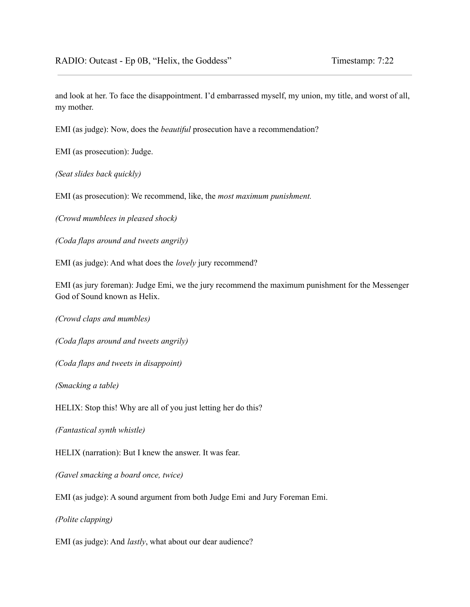and look at her. To face the disappointment. I'd embarrassed myself, my union, my title, and worst of all, my mother.

EMI (as judge): Now, does the *beautiful* prosecution have a recommendation?

EMI (as prosecution): Judge.

*(Seat slides back quickly)*

EMI (as prosecution): We recommend, like, the *most maximum punishment.*

*(Crowd mumblees in pleased shock)*

*(Coda flaps around and tweets angrily)*

EMI (as judge): And what does the *lovely* jury recommend?

EMI (as jury foreman): Judge Emi, we the jury recommend the maximum punishment for the Messenger God of Sound known as Helix.

*(Crowd claps and mumbles)*

*(Coda flaps around and tweets angrily)*

*(Coda flaps and tweets in disappoint)*

*(Smacking a table)*

HELIX: Stop this! Why are all of you just letting her do this?

*(Fantastical synth whistle)*

HELIX (narration): But I knew the answer. It was fear.

*(Gavel smacking a board once, twice)*

EMI (as judge): A sound argument from both Judge Emi and Jury Foreman Emi.

*(Polite clapping)*

EMI (as judge): And *lastly*, what about our dear audience?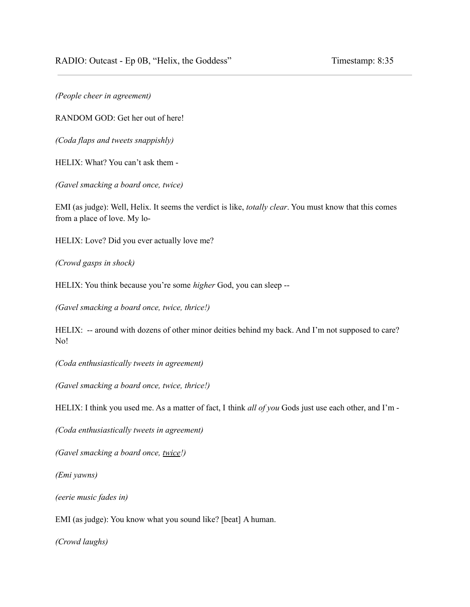*(People cheer in agreement)*

RANDOM GOD: Get her out of here!

*(Coda flaps and tweets snappishly)*

HELIX: What? You can't ask them -

*(Gavel smacking a board once, twice)*

EMI (as judge): Well, Helix. It seems the verdict is like, *totally clear*. You must know that this comes from a place of love. My lo-

HELIX: Love? Did you ever actually love me?

*(Crowd gasps in shock)*

HELIX: You think because you're some *higher* God, you can sleep --

*(Gavel smacking a board once, twice, thrice!)*

HELIX: -- around with dozens of other minor deities behind my back. And I'm not supposed to care? No!

*(Coda enthusiastically tweets in agreement)*

*(Gavel smacking a board once, twice, thrice!)*

HELIX: I think you used me. As a matter of fact, I think *all of you* Gods just use each other, and I'm -

*(Coda enthusiastically tweets in agreement)*

*(Gavel smacking a board once, twice!)*

*(Emi yawns)*

*(eerie music fades in)*

EMI (as judge): You know what you sound like? [beat] A human.

*(Crowd laughs)*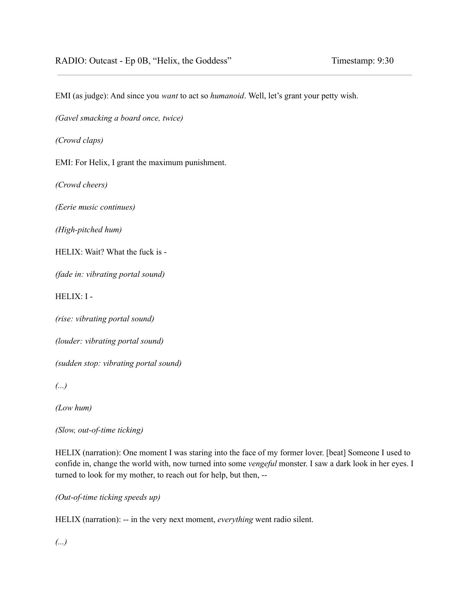EMI (as judge): And since you *want* to act so *humanoid*. Well, let's grant your petty wish.

*(Gavel smacking a board once, twice)*

*(Crowd claps)*

EMI: For Helix, I grant the maximum punishment.

*(Crowd cheers)*

*(Eerie music continues)*

*(High-pitched hum)*

HELIX: Wait? What the fuck is -

*(fade in: vibrating portal sound)*

HELIX: I -

*(rise: vibrating portal sound)*

*(louder: vibrating portal sound)*

*(sudden stop: vibrating portal sound)*

*(...)*

*(Low hum)*

*(Slow, out-of-time ticking)*

HELIX (narration): One moment I was staring into the face of my former lover. [beat] Someone I used to confide in, change the world with, now turned into some *vengeful* monster. I saw a dark look in her eyes. I turned to look for my mother, to reach out for help, but then, --

*(Out-of-time ticking speeds up)*

HELIX (narration): -- in the very next moment, *everything* went radio silent.

*(...)*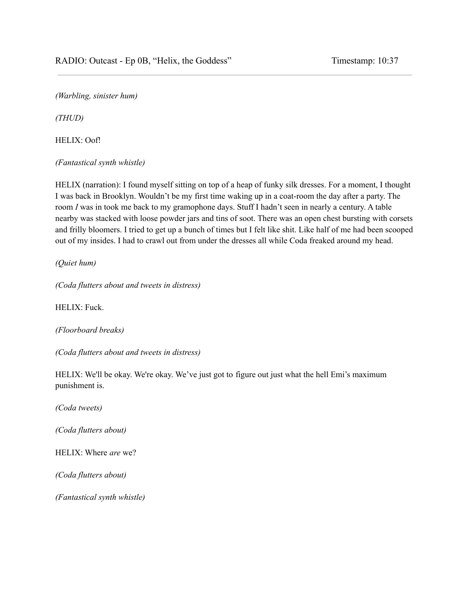*(Warbling, sinister hum)*

*(THUD)*

HELIX: Oof!

*(Fantastical synth whistle)*

HELIX (narration): I found myself sitting on top of a heap of funky silk dresses. For a moment, I thought I was back in Brooklyn. Wouldn't be my first time waking up in a coat-room the day after a party. The room *I* was in took me back to my gramophone days. Stuff I hadn't seen in nearly a century. A table nearby was stacked with loose powder jars and tins of soot. There was an open chest bursting with corsets and frilly bloomers. I tried to get up a bunch of times but I felt like shit. Like half of me had been scooped out of my insides. I had to crawl out from under the dresses all while Coda freaked around my head.

*(Quiet hum)*

*(Coda flutters about and tweets in distress)*

HELIX: Fuck.

*(Floorboard breaks)*

*(Coda flutters about and tweets in distress)*

HELIX: We'll be okay. We're okay. We've just got to figure out just what the hell Emi's maximum punishment is.

*(Coda tweets)*

*(Coda flutters about)*

HELIX: Where *are* we?

*(Coda flutters about)*

*(Fantastical synth whistle)*